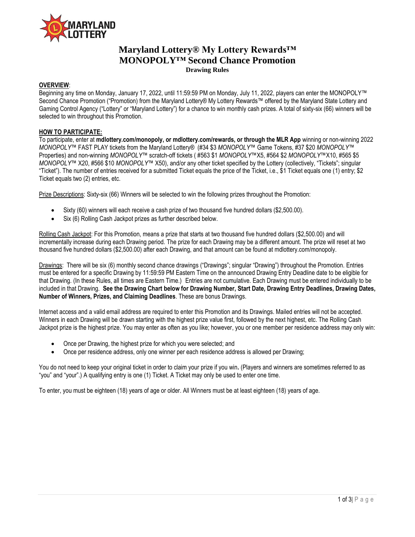

# **Maryland Lottery® My Lottery Rewards™ MONOPOLY™ Second Chance Promotion Drawing Rules**

# **OVERVIEW**:

Beginning any time on Monday, January 17, 2022, until 11:59:59 PM on Monday, July 11, 2022, players can enter the MONOPOLY™ Second Chance Promotion ("Promotion) from the Maryland Lottery® My Lottery Rewards™ offered by the Maryland State Lottery and Gaming Control Agency ("Lottery" or "Maryland Lottery") for a chance to win monthly cash prizes. A total of sixty-six (66) winners will be selected to win throughout this Promotion.

#### **HOW TO PARTICIPATE:**

To participate, enter at **mdlottery.com/monopoly, or mdlottery.com/rewards, or through the MLR App** winning or non-winning 2022 *MONOPOLY™* FAST PLAY tickets from the Maryland Lottery® (#34 \$3 *MONOPOLY™* Game Tokens, #37 \$20 *MONOPOLY™* Properties) and non-winning *MONOPOLY™* scratch-off tickets ( #563 \$1 *MONOPOLY™*X5, #564 \$2 *MONOPOLY™*X10, #565 \$5 *MONOPOLY™* X20, #566 \$10 *MONOPOLY™* X50), and/or any other ticket specified by the Lottery (collectively, "Tickets"; singular "Ticket"). The number of entries received for a submitted Ticket equals the price of the Ticket, i.e., \$1 Ticket equals one (1) entry; \$2 Ticket equals two (2) entries, etc.

Prize Descriptions: Sixty-six (66) Winners will be selected to win the following prizes throughout the Promotion:

- Sixty (60) winners will each receive a cash prize of two thousand five hundred dollars (\$2,500.00).
- Six (6) Rolling Cash Jackpot prizes as further described below.

Rolling Cash Jackpot: For this Promotion, means a prize that starts at two thousand five hundred dollars (\$2,500.00) and will incrementally increase during each Drawing period. The prize for each Drawing may be a different amount. The prize will reset at two thousand five hundred dollars (\$2,500.00) after each Drawing, and that amount can be found at mdlottery.com/monopoly.

Drawings: There will be six (6) monthly second chance drawings ("Drawings"; singular "Drawing") throughout the Promotion. Entries must be entered for a specific Drawing by 11:59:59 PM Eastern Time on the announced Drawing Entry Deadline date to be eligible for that Drawing. (In these Rules, all times are Eastern Time.) Entries are not cumulative. Each Drawing must be entered individually to be included in that Drawing. **See the Drawing Chart below for Drawing Number, Start Date, Drawing Entry Deadlines, Drawing Dates, Number of Winners, Prizes, and Claiming Deadlines**. These are bonus Drawings.

Internet access and a valid email address are required to enter this Promotion and its Drawings. Mailed entries will not be accepted. Winners in each Drawing will be drawn starting with the highest prize value first, followed by the next highest, etc. The Rolling Cash Jackpot prize is the highest prize. You may enter as often as you like; however, you or one member per residence address may only win:

- Once per Drawing, the highest prize for which you were selected; and
- Once per residence address, only one winner per each residence address is allowed per Drawing;

You do not need to keep your original ticket in order to claim your prize if you win**.** (Players and winners are sometimes referred to as "you" and "your".) A qualifying entry is one (1) Ticket. A Ticket may only be used to enter one time.

To enter, you must be eighteen (18) years of age or older. All Winners must be at least eighteen (18) years of age.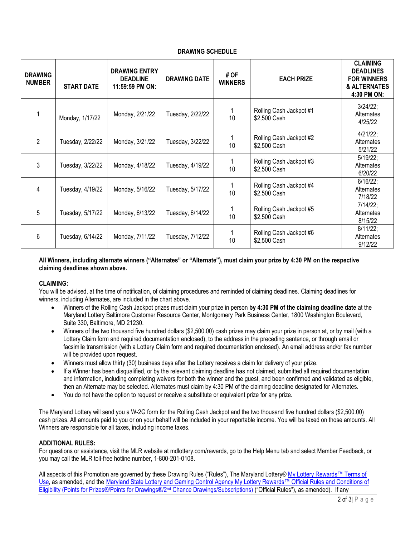# **DRAWING SCHEDULE**

| <b>DRAWING</b><br><b>NUMBER</b> | <b>START DATE</b> | <b>DRAWING ENTRY</b><br><b>DEADLINE</b><br>11:59:59 PM ON: | <b>DRAWING DATE</b> | # OF<br><b>WINNERS</b> | <b>EACH PRIZE</b>                       | <b>CLAIMING</b><br><b>DEADLINES</b><br><b>FOR WINNERS</b><br>& ALTERNATES<br>4:30 PM ON: |
|---------------------------------|-------------------|------------------------------------------------------------|---------------------|------------------------|-----------------------------------------|------------------------------------------------------------------------------------------|
|                                 | Monday, 1/17/22   | Monday, 2/21/22                                            | Tuesday, 2/22/22    | 1<br>10                | Rolling Cash Jackpot #1<br>\$2,500 Cash | $3/24/22$ ;<br>Alternates<br>4/25/22                                                     |
| $\mathcal{P}$                   | Tuesday, 2/22/22  | Monday, 3/21/22                                            | Tuesday, 3/22/22    | 1<br>10                | Rolling Cash Jackpot #2<br>\$2,500 Cash | 4/21/22;<br>Alternates<br>5/21/22                                                        |
| 3                               | Tuesday, 3/22/22  | Monday, 4/18/22                                            | Tuesday, 4/19/22    | 1<br>10                | Rolling Cash Jackpot #3<br>\$2,500 Cash | 5/19/22;<br>Alternates<br>6/20/22                                                        |
| 4                               | Tuesday, 4/19/22  | Monday, 5/16/22                                            | Tuesday, 5/17/22    | 1<br>10                | Rolling Cash Jackpot #4<br>\$2.500 Cash | $6/16/22$ ;<br>Alternates<br>7/18/22                                                     |
| 5                               | Tuesday, 5/17/22  | Monday, 6/13/22                                            | Tuesday, 6/14/22    | 1<br>10                | Rolling Cash Jackpot #5<br>\$2,500 Cash | 7/14/22;<br>Alternates<br>8/15/22                                                        |
| 6                               | Tuesday, 6/14/22  | Monday, 7/11/22                                            | Tuesday, 7/12/22    | 1<br>10                | Rolling Cash Jackpot #6<br>\$2,500 Cash | 8/11/22;<br>Alternates<br>9/12/22                                                        |

### **All Winners, including alternate winners ("Alternates" or "Alternate"), must claim your prize by 4:30 PM on the respective claiming deadlines shown above.**

### **CLAIMING:**

You will be advised, at the time of notification, of claiming procedures and reminded of claiming deadlines. Claiming deadlines for winners, including Alternates, are included in the chart above.

- Winners of the Rolling Cash Jackpot prizes must claim your prize in person **by 4:30 PM of the claiming deadline date** at the Maryland Lottery Baltimore Customer Resource Center, Montgomery Park Business Center, 1800 Washington Boulevard, Suite 330, Baltimore, MD 21230.
- Winners of the two thousand five hundred dollars (\$2,500.00) cash prizes may claim your prize in person at, or by mail (with a Lottery Claim form and required documentation enclosed), to the address in the preceding sentence, or through email or facsimile transmission (with a Lottery Claim form and required documentation enclosed). An email address and/or fax number will be provided upon request.
- Winners must allow thirty (30) business days after the Lottery receives a claim for delivery of your prize.
- If a Winner has been disqualified, or by the relevant claiming deadline has not claimed, submitted all required documentation and information, including completing waivers for both the winner and the guest, and been confirmed and validated as eligible, then an Alternate may be selected. Alternates must claim by 4:30 PM of the claiming deadline designated for Alternates.
- You do not have the option to request or receive a substitute or equivalent prize for any prize.

The Maryland Lottery will send you a W-2G form for the Rolling Cash Jackpot and the two thousand five hundred dollars (\$2,500.00) cash prizes. All amounts paid to you or on your behalf will be included in your reportable income. You will be taxed on those amounts. All Winners are responsible for all taxes, including income taxes.

### **ADDITIONAL RULES:**

For questions or assistance, visit the MLR website at mdlottery.com/rewards, go to the Help Menu tab and select Member Feedback, or you may call the MLR toll-free hotline number, 1-800-201-0108.

All aspects of this Promotion are governed by these Drawing Rules ("Rules"), The Maryland Lottery® My Lottery Rewards™ Terms of [Use,](https://www.mdlottery.com/wp-content/uploads/2021/06/MLR-Terms-of-Use-29n-eff-8-23-2021.pdf) as amended, and the [Maryland State Lottery and Gaming Control Agency My Lottery Rewards™ Official Rules and Conditions of](https://www.mdlottery.com/wp-content/uploads/2021/06/Points-for-Prizes-Drawings-Rules_132r_Eff-8-23-21.pdf)  [Eligibility \(Points for Prizes®/Points for Drawings®/2](https://www.mdlottery.com/wp-content/uploads/2021/06/Points-for-Prizes-Drawings-Rules_132r_Eff-8-23-21.pdf)nd Chance Drawings/Subscriptions) ("Official Rules"), as amended). If any